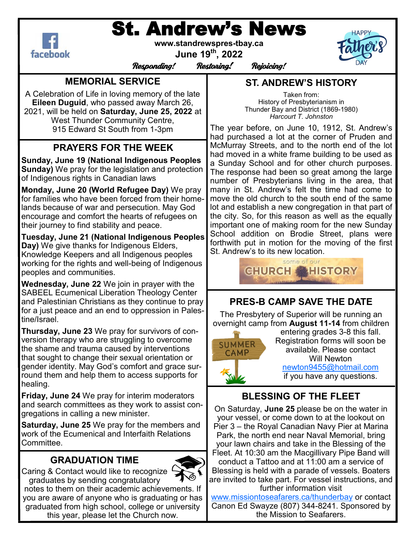# St. Andrew's News



**www.standrewspres-tbay.ca**

**June 19th, 2022**



Responding! Restoring! Rejoicing!

#### **MEMORIAL SERVICE**

A Celebration of Life in loving memory of the late **Eileen Duguid**, who passed away March 26, 2021, will be held on **Saturday, June 25, 2022** at West Thunder Community Centre, 915 Edward St South from 1-3pm

### **PRAYERS FOR THE WEEK**

**Sunday, June 19 (National Indigenous Peoples Sunday)** We pray for the legislation and protection of Indigenous rights in Canadian laws

**Monday, June 20 (World Refugee Day)** We pray for families who have been forced from their homelands because of war and persecution. May God encourage and comfort the hearts of refugees on their journey to find stability and peace.

**Tuesday, June 21 (National Indigenous Peoples Day)** We give thanks for Indigenous Elders, Knowledge Keepers and all Indigenous peoples working for the rights and well-being of Indigenous peoples and communities.

**Wednesday, June 22** We join in prayer with the SABEEL Ecumenical Liberation Theology Center and Palestinian Christians as they continue to pray for a just peace and an end to oppression in Palestine/Israel.

**Thursday, June 23** We pray for survivors of conversion therapy who are struggling to overcome the shame and trauma caused by interventions that sought to change their sexual orientation or gender identity. May God's comfort and grace surround them and help them to access supports for healing.

**Friday, June 24** We pray for interim moderators and search committees as they work to assist congregations in calling a new minister.

**Saturday, June 25** We pray for the members and work of the Ecumenical and Interfaith Relations Committee.

# **GRADUATION TIME**

Caring & Contact would like to recognize graduates by sending congratulatory



notes to them on their academic achievements. If you are aware of anyone who is graduating or has graduated from high school, college or university this year, please let the Church now.

## **ST. ANDREW'S HISTORY**

Taken from: History of Presbyterianism in Thunder Bay and District (1869-1980) *Harcourt T. Johnston*

The year before, on June 10, 1912, St. Andrew's had purchased a lot at the corner of Pruden and McMurray Streets, and to the north end of the lot had moved in a white frame building to be used as a Sunday School and for other church purposes. The response had been so great among the large number of Presbyterians living in the area, that many in St. Andrew's felt the time had come to move the old church to the south end of the same lot and establish a new congregation in that part of the city. So, for this reason as well as the equally important one of making room for the new Sunday School addition on Brodie Street, plans were forthwith put in motion for the moving of the first St. Andrew's to its new location.



# **PRES-B CAMP SAVE THE DATE**

The Presbytery of Superior will be running an overnight camp from **August 11-14** from children



entering grades 3-8 this fall. Registration forms will soon be available. Please contact Will Newton [newton9455@hotmail.com](mailto:newton9455@hotmail.com) if you have any questions.

# **BLESSING OF THE FLEET**

On Saturday, **June 25** please be on the water in your vessel, or come down to at the lookout on Pier 3 – the Royal Canadian Navy Pier at Marina Park, the north end near Naval Memorial, bring your lawn chairs and take in the Blessing of the Fleet. At 10:30 am the Macgillivary Pipe Band will conduct a Tattoo and at 11:00 am a service of Blessing is held with a parade of vessels. Boaters are invited to take part. For vessel instructions, and further information visit

[www.missiontoseafarers.ca/thunderbay](http://www.missiontoseafarers.ca/thunderbay) or contact Canon Ed Swayze (807) 344-8241. Sponsored by the Mission to Seafarers.